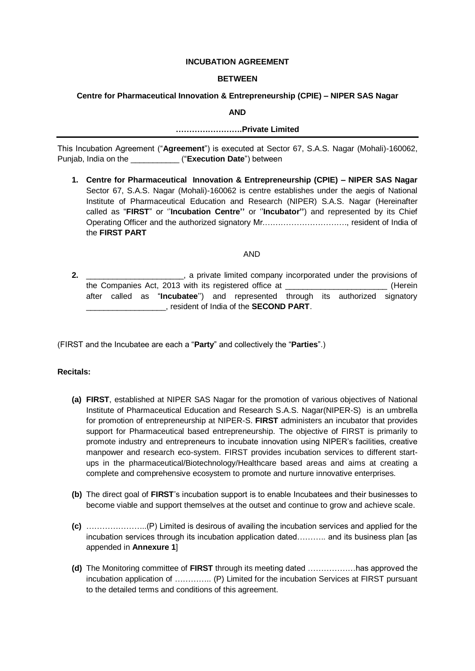### **INCUBATION AGREEMENT**

## **BETWEEN**

## **Centre for Pharmaceutical Innovation & Entrepreneurship (CPIE) – NIPER SAS Nagar**

**AND**

### **…………………….Private Limited**

This Incubation Agreement ("**Agreement**") is executed at Sector 67, S.A.S. Nagar (Mohali)-160062, Punjab, India on the \_\_\_\_\_\_\_\_\_\_\_ ("**Execution Date**") between

**1. Centre for Pharmaceutical Innovation & Entrepreneurship (CPIE) – NIPER SAS Nagar** Sector 67, S.A.S. Nagar (Mohali)-160062 is centre establishes under the aegis of National Institute of Pharmaceutical Education and Research (NIPER) S.A.S. Nagar (Hereinafter called as "**FIRST**" or ''**Incubation Centre''** or ''**Incubator''**) and represented by its Chief Operating Officer and the authorized signatory Mr.…………………………., resident of India of the **FIRST PART**

### AND

**2. 2. 2.** *\_\_\_\_\_\_\_\_***, a private limited company incorporated under the provisions of** the Companies Act, 2013 with its registered office at \_\_\_\_\_\_\_\_\_\_\_\_\_\_\_\_\_\_\_\_\_\_\_ (Herein after called as "**Incubatee**'') and represented through its authorized signatory \_\_\_\_\_\_\_\_\_\_\_\_\_\_\_\_\_\_, resident of India of the **SECOND PART**.

(FIRST and the Incubatee are each a "**Party**" and collectively the "**Parties**".)

## **Recitals:**

- **(a) FIRST**, established at NIPER SAS Nagar for the promotion of various objectives of National Institute of Pharmaceutical Education and Research S.A.S. Nagar(NIPER-S) is an umbrella for promotion of entrepreneurship at NIPER-S. **FIRST** administers an incubator that provides support for Pharmaceutical based entrepreneurship. The objective of FIRST is primarily to promote industry and entrepreneurs to incubate innovation using NIPER's facilities, creative manpower and research eco-system. FIRST provides incubation services to different startups in the pharmaceutical/Biotechnology/Healthcare based areas and aims at creating a complete and comprehensive ecosystem to promote and nurture innovative enterprises.
- **(b)** The direct goal of **FIRST**'s incubation support is to enable Incubatees and their businesses to become viable and support themselves at the outset and continue to grow and achieve scale.
- **(c)** …………………..(P) Limited is desirous of availing the incubation services and applied for the incubation services through its incubation application dated……….. and its business plan [as appended in **Annexure 1**]
- **(d)** The Monitoring committee of **FIRST** through its meeting dated ………………has approved the incubation application of ………….. (P) Limited for the incubation Services at FIRST pursuant to the detailed terms and conditions of this agreement.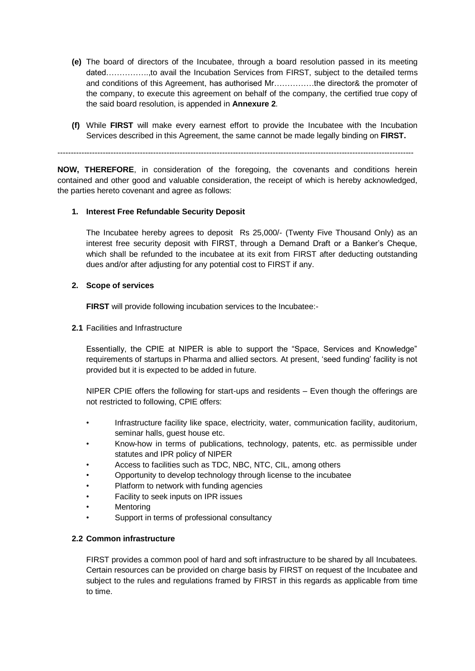- **(e)** The board of directors of the Incubatee, through a board resolution passed in its meeting dated…………….,to avail the Incubation Services from FIRST, subject to the detailed terms and conditions of this Agreement, has authorised Mr……………the director& the promoter of the company, to execute this agreement on behalf of the company, the certified true copy of the said board resolution, is appended in **Annexure 2**.
- **(f)** While **FIRST** will make every earnest effort to provide the Incubatee with the Incubation Services described in this Agreement, the same cannot be made legally binding on **FIRST.**

--------------------------------------------------------------------------------------------------------------------------------------

**NOW, THEREFORE**, in consideration of the foregoing, the covenants and conditions herein contained and other good and valuable consideration, the receipt of which is hereby acknowledged, the parties hereto covenant and agree as follows:

## **1. Interest Free Refundable Security Deposit**

The Incubatee hereby agrees to deposit Rs 25,000/- (Twenty Five Thousand Only) as an interest free security deposit with FIRST, through a Demand Draft or a Banker's Cheque, which shall be refunded to the incubatee at its exit from FIRST after deducting outstanding dues and/or after adjusting for any potential cost to FIRST if any.

### **2. Scope of services**

**FIRST** will provide following incubation services to the Incubatee:-

**2.1** Facilities and Infrastructure

Essentially, the CPIE at NIPER is able to support the "Space, Services and Knowledge" requirements of startups in Pharma and allied sectors. At present, 'seed funding' facility is not provided but it is expected to be added in future.

NIPER CPIE offers the following for start-ups and residents – Even though the offerings are not restricted to following, CPIE offers:

- Infrastructure facility like space, electricity, water, communication facility, auditorium, seminar halls, quest house etc.
- Know-how in terms of publications, technology, patents, etc. as permissible under statutes and IPR policy of NIPER
- Access to facilities such as TDC, NBC, NTC, CIL, among others
- Opportunity to develop technology through license to the incubatee
- Platform to network with funding agencies
- Facility to seek inputs on IPR issues
- **Mentoring**
- Support in terms of professional consultancy

### **2.2 Common infrastructure**

FIRST provides a common pool of hard and soft infrastructure to be shared by all Incubatees. Certain resources can be provided on charge basis by FIRST on request of the Incubatee and subject to the rules and regulations framed by FIRST in this regards as applicable from time to time.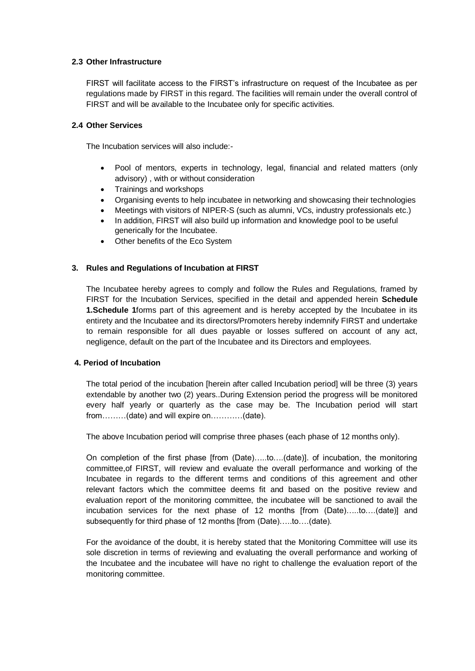## **2.3 Other Infrastructure**

FIRST will facilitate access to the FIRST's infrastructure on request of the Incubatee as per regulations made by FIRST in this regard. The facilities will remain under the overall control of FIRST and will be available to the Incubatee only for specific activities.

## **2.4 Other Services**

The Incubation services will also include:-

- Pool of mentors, experts in technology, legal, financial and related matters (only advisory) , with or without consideration
- Trainings and workshops
- Organising events to help incubatee in networking and showcasing their technologies
- Meetings with visitors of NIPER-S (such as alumni, VCs, industry professionals etc.)
- In addition, FIRST will also build up information and knowledge pool to be useful generically for the Incubatee.
- Other benefits of the Eco System

# **3. Rules and Regulations of Incubation at FIRST**

The Incubatee hereby agrees to comply and follow the Rules and Regulations, framed by FIRST for the Incubation Services, specified in the detail and appended herein **Schedule 1.Schedule 1**forms part of this agreement and is hereby accepted by the Incubatee in its entirety and the Incubatee and its directors/Promoters hereby indemnify FIRST and undertake to remain responsible for all dues payable or losses suffered on account of any act, negligence, default on the part of the Incubatee and its Directors and employees.

## **4. Period of Incubation**

The total period of the incubation [herein after called Incubation period] will be three (3) years extendable by another two (2) years..During Extension period the progress will be monitored every half yearly or quarterly as the case may be. The Incubation period will start from………(date) and will expire on…………(date).

The above Incubation period will comprise three phases (each phase of 12 months only).

On completion of the first phase [from (Date)…..to….(date)]. of incubation, the monitoring committee,of FIRST, will review and evaluate the overall performance and working of the Incubatee in regards to the different terms and conditions of this agreement and other relevant factors which the committee deems fit and based on the positive review and evaluation report of the monitoring committee, the incubatee will be sanctioned to avail the incubation services for the next phase of 12 months [from (Date)…..to….(date)] and subsequently for third phase of 12 months [from (Date)…..to….(date).

For the avoidance of the doubt, it is hereby stated that the Monitoring Committee will use its sole discretion in terms of reviewing and evaluating the overall performance and working of the Incubatee and the incubatee will have no right to challenge the evaluation report of the monitoring committee.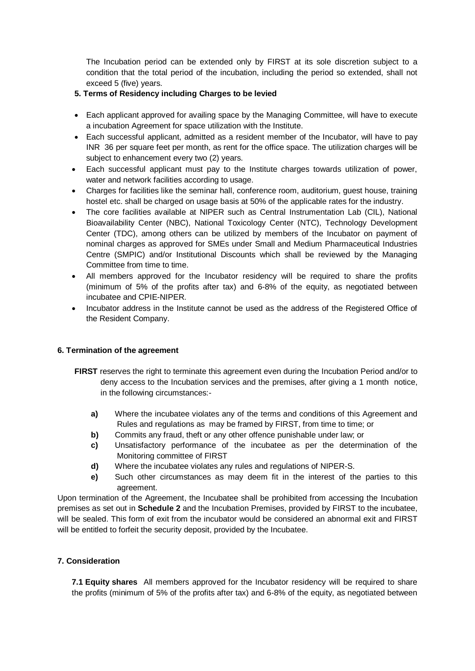The Incubation period can be extended only by FIRST at its sole discretion subject to a condition that the total period of the incubation, including the period so extended, shall not exceed 5 (five) years.

# **5. Terms of Residency including Charges to be levied**

- Each applicant approved for availing space by the Managing Committee, will have to execute a incubation Agreement for space utilization with the Institute.
- Each successful applicant, admitted as a resident member of the Incubator, will have to pay INR 36 per square feet per month, as rent for the office space. The utilization charges will be subject to enhancement every two (2) years.
- Each successful applicant must pay to the Institute charges towards utilization of power, water and network facilities according to usage.
- Charges for facilities like the seminar hall, conference room, auditorium, guest house, training hostel etc. shall be charged on usage basis at 50% of the applicable rates for the industry.
- The core facilities available at NIPER such as Central Instrumentation Lab (CIL), National Bioavailability Center (NBC), National Toxicology Center (NTC), Technology Development Center (TDC), among others can be utilized by members of the Incubator on payment of nominal charges as approved for SMEs under Small and Medium Pharmaceutical Industries Centre (SMPIC) and/or Institutional Discounts which shall be reviewed by the Managing Committee from time to time.
- All members approved for the Incubator residency will be required to share the profits (minimum of 5% of the profits after tax) and 6-8% of the equity, as negotiated between incubatee and CPIE-NIPER.
- Incubator address in the Institute cannot be used as the address of the Registered Office of the Resident Company.

## **6. Termination of the agreement**

- **FIRST** reserves the right to terminate this agreement even during the Incubation Period and/or to deny access to the Incubation services and the premises, after giving a 1 month notice, in the following circumstances:
	- **a)** Where the incubatee violates any of the terms and conditions of this Agreement and Rules and regulations as may be framed by FIRST, from time to time; or
	- **b)** Commits any fraud, theft or any other offence punishable under law; or
	- **c)** Unsatisfactory performance of the incubatee as per the determination of the Monitoring committee of FIRST
	- **d)** Where the incubatee violates any rules and regulations of NIPER-S.
	- **e)** Such other circumstances as may deem fit in the interest of the parties to this agreement.

Upon termination of the Agreement, the Incubatee shall be prohibited from accessing the Incubation premises as set out in **Schedule 2** and the Incubation Premises, provided by FIRST to the incubatee, will be sealed. This form of exit from the incubator would be considered an abnormal exit and FIRST will be entitled to forfeit the security deposit, provided by the Incubatee.

## **7. Consideration**

**7.1 Equity shares** All members approved for the Incubator residency will be required to share the profits (minimum of 5% of the profits after tax) and 6-8% of the equity, as negotiated between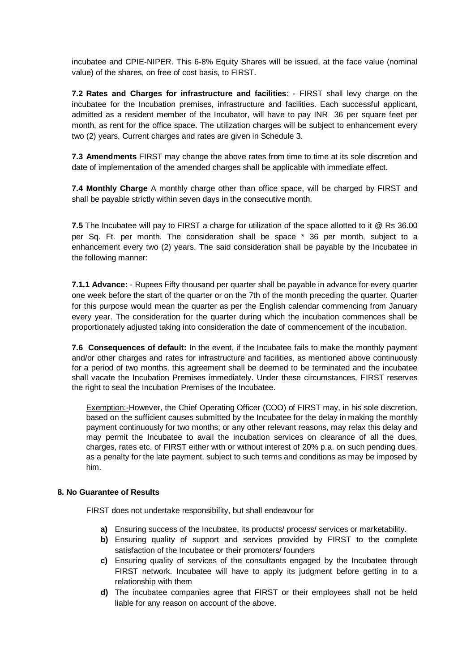incubatee and CPIE-NIPER. This 6-8% Equity Shares will be issued, at the face value (nominal value) of the shares, on free of cost basis, to FIRST.

**7.2 Rates and Charges for infrastructure and facilities**: - FIRST shall levy charge on the incubatee for the Incubation premises, infrastructure and facilities. Each successful applicant, admitted as a resident member of the Incubator, will have to pay INR 36 per square feet per month, as rent for the office space. The utilization charges will be subject to enhancement every two (2) years. Current charges and rates are given in Schedule 3.

**7.3 Amendments** FIRST may change the above rates from time to time at its sole discretion and date of implementation of the amended charges shall be applicable with immediate effect.

**7.4 Monthly Charge** A monthly charge other than office space, will be charged by FIRST and shall be payable strictly within seven days in the consecutive month.

**7.5** The Incubatee will pay to FIRST a charge for utilization of the space allotted to it @ Rs 36.00 per Sq. Ft. per month. The consideration shall be space \* 36 per month, subject to a enhancement every two (2) years. The said consideration shall be payable by the Incubatee in the following manner:

**7.1.1 Advance:** - Rupees Fifty thousand per quarter shall be payable in advance for every quarter one week before the start of the quarter or on the 7th of the month preceding the quarter. Quarter for this purpose would mean the quarter as per the English calendar commencing from January every year. The consideration for the quarter during which the incubation commences shall be proportionately adjusted taking into consideration the date of commencement of the incubation.

**7.6 Consequences of default:** In the event, if the Incubatee fails to make the monthly payment and/or other charges and rates for infrastructure and facilities, as mentioned above continuously for a period of two months, this agreement shall be deemed to be terminated and the incubatee shall vacate the Incubation Premises immediately. Under these circumstances, FIRST reserves the right to seal the Incubation Premises of the Incubatee.

Exemption:-However, the Chief Operating Officer (COO) of FIRST may, in his sole discretion, based on the sufficient causes submitted by the Incubatee for the delay in making the monthly payment continuously for two months; or any other relevant reasons, may relax this delay and may permit the Incubatee to avail the incubation services on clearance of all the dues, charges, rates etc. of FIRST either with or without interest of 20% p.a. on such pending dues, as a penalty for the late payment, subject to such terms and conditions as may be imposed by him.

## **8. No Guarantee of Results**

FIRST does not undertake responsibility, but shall endeavour for

- **a)** Ensuring success of the Incubatee, its products/ process/ services or marketability.
- **b)** Ensuring quality of support and services provided by FIRST to the complete satisfaction of the Incubatee or their promoters/ founders
- **c)** Ensuring quality of services of the consultants engaged by the Incubatee through FIRST network. Incubatee will have to apply its judgment before getting in to a relationship with them
- **d)** The incubatee companies agree that FIRST or their employees shall not be held liable for any reason on account of the above.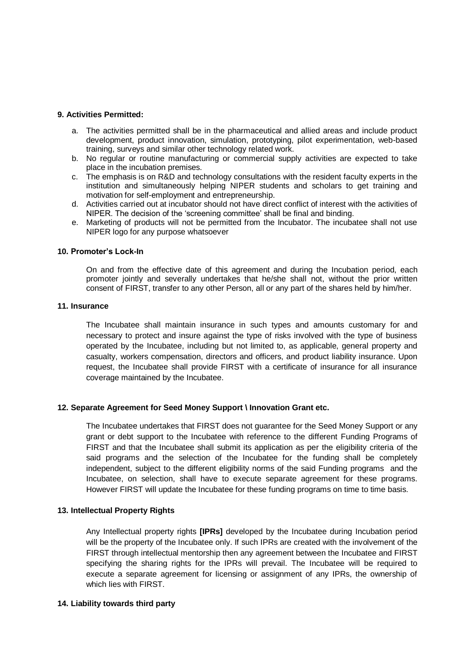### **9. Activities Permitted:**

- a. The activities permitted shall be in the pharmaceutical and allied areas and include product development, product innovation, simulation, prototyping, pilot experimentation, web-based training, surveys and similar other technology related work.
- b. No regular or routine manufacturing or commercial supply activities are expected to take place in the incubation premises.
- c. The emphasis is on R&D and technology consultations with the resident faculty experts in the institution and simultaneously helping NIPER students and scholars to get training and motivation for self-employment and entrepreneurship.
- d. Activities carried out at incubator should not have direct conflict of interest with the activities of NIPER. The decision of the 'screening committee' shall be final and binding.
- e. Marketing of products will not be permitted from the Incubator. The incubatee shall not use NIPER logo for any purpose whatsoever

### **10. Promoter's Lock-In**

On and from the effective date of this agreement and during the Incubation period, each promoter jointly and severally undertakes that he/she shall not, without the prior written consent of FIRST, transfer to any other Person, all or any part of the shares held by him/her.

#### **11. Insurance**

The Incubatee shall maintain insurance in such types and amounts customary for and necessary to protect and insure against the type of risks involved with the type of business operated by the Incubatee, including but not limited to, as applicable, general property and casualty, workers compensation, directors and officers, and product liability insurance. Upon request, the Incubatee shall provide FIRST with a certificate of insurance for all insurance coverage maintained by the Incubatee.

### **12. Separate Agreement for Seed Money Support \ Innovation Grant etc.**

The Incubatee undertakes that FIRST does not guarantee for the Seed Money Support or any grant or debt support to the Incubatee with reference to the different Funding Programs of FIRST and that the Incubatee shall submit its application as per the eligibility criteria of the said programs and the selection of the Incubatee for the funding shall be completely independent, subject to the different eligibility norms of the said Funding programs and the Incubatee, on selection, shall have to execute separate agreement for these programs. However FIRST will update the Incubatee for these funding programs on time to time basis.

### **13. Intellectual Property Rights**

Any Intellectual property rights **[IPRs]** developed by the Incubatee during Incubation period will be the property of the Incubatee only. If such IPRs are created with the involvement of the FIRST through intellectual mentorship then any agreement between the Incubatee and FIRST specifying the sharing rights for the IPRs will prevail. The Incubatee will be required to execute a separate agreement for licensing or assignment of any IPRs, the ownership of which lies with FIRST.

### **14. Liability towards third party**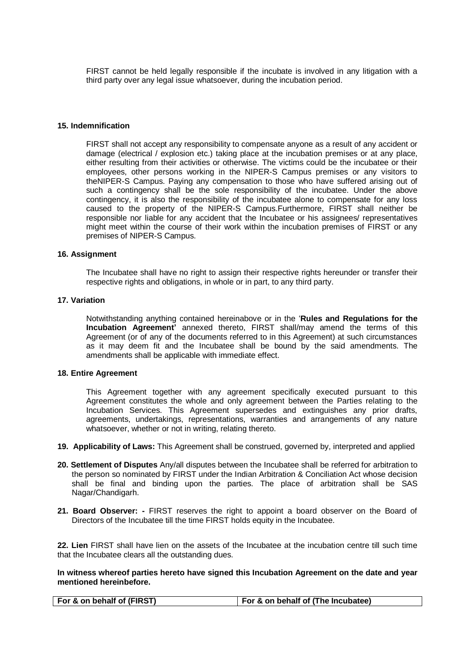FIRST cannot be held legally responsible if the incubate is involved in any litigation with a third party over any legal issue whatsoever, during the incubation period.

#### **15. Indemnification**

FIRST shall not accept any responsibility to compensate anyone as a result of any accident or damage (electrical / explosion etc.) taking place at the incubation premises or at any place, either resulting from their activities or otherwise. The victims could be the incubatee or their employees, other persons working in the NIPER-S Campus premises or any visitors to theNIPER-S Campus. Paying any compensation to those who have suffered arising out of such a contingency shall be the sole responsibility of the incubatee. Under the above contingency, it is also the responsibility of the incubatee alone to compensate for any loss caused to the property of the NIPER-S Campus.Furthermore, FIRST shall neither be responsible nor liable for any accident that the Incubatee or his assignees/ representatives might meet within the course of their work within the incubation premises of FIRST or any premises of NIPER-S Campus.

#### **16. Assignment**

The Incubatee shall have no right to assign their respective rights hereunder or transfer their respective rights and obligations, in whole or in part, to any third party.

### **17. Variation**

Notwithstanding anything contained hereinabove or in the '**Rules and Regulations for the Incubation Agreement'** annexed thereto, FIRST shall/may amend the terms of this Agreement (or of any of the documents referred to in this Agreement) at such circumstances as it may deem fit and the Incubatee shall be bound by the said amendments. The amendments shall be applicable with immediate effect.

#### **18. Entire Agreement**

This Agreement together with any agreement specifically executed pursuant to this Agreement constitutes the whole and only agreement between the Parties relating to the Incubation Services. This Agreement supersedes and extinguishes any prior drafts, agreements, undertakings, representations, warranties and arrangements of any nature whatsoever, whether or not in writing, relating thereto.

- **19. Applicability of Laws:** This Agreement shall be construed, governed by, interpreted and applied
- **20. Settlement of Disputes** Any/all disputes between the Incubatee shall be referred for arbitration to the person so nominated by FIRST under the Indian Arbitration & Conciliation Act whose decision shall be final and binding upon the parties. The place of arbitration shall be SAS Nagar/Chandigarh.
- **21. Board Observer: -** FIRST reserves the right to appoint a board observer on the Board of Directors of the Incubatee till the time FIRST holds equity in the Incubatee.

**22. Lien** FIRST shall have lien on the assets of the Incubatee at the incubation centre till such time that the Incubatee clears all the outstanding dues.

**In witness whereof parties hereto have signed this Incubation Agreement on the date and year mentioned hereinbefore.**

| For & on behalf of (FIRST) | For & on behalf of (The Incubatee) |
|----------------------------|------------------------------------|
|----------------------------|------------------------------------|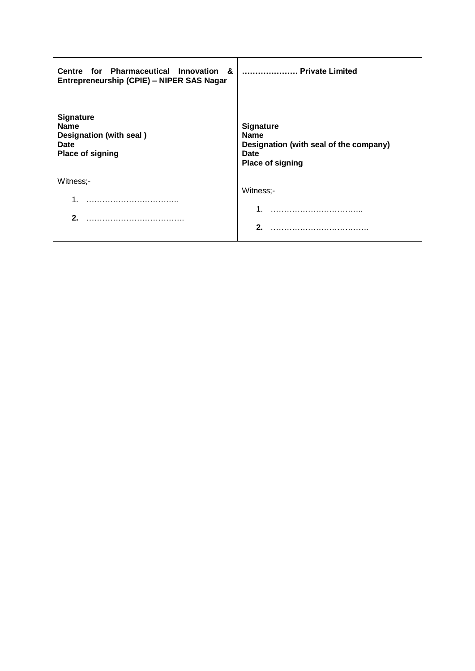| Centre for Pharmaceutical Innovation &<br>Entrepreneurship (CPIE) - NIPER SAS Nagar           | Private Limited                                                                                              |
|-----------------------------------------------------------------------------------------------|--------------------------------------------------------------------------------------------------------------|
| <b>Signature</b><br><b>Name</b><br>Designation (with seal)<br>Date<br><b>Place of signing</b> | <b>Signature</b><br><b>Name</b><br>Designation (with seal of the company)<br>Date<br><b>Place of signing</b> |
| Witness;-                                                                                     | Witness:-                                                                                                    |
| 2.                                                                                            | 2 <sup>1</sup>                                                                                               |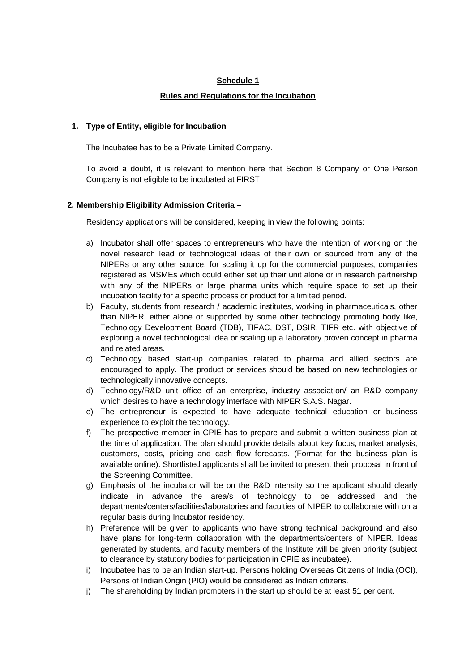# **Schedule 1**

## **Rules and Regulations for the Incubation**

## **1. Type of Entity, eligible for Incubation**

The Incubatee has to be a Private Limited Company.

To avoid a doubt, it is relevant to mention here that Section 8 Company or One Person Company is not eligible to be incubated at FIRST

# **2. Membership Eligibility Admission Criteria –**

Residency applications will be considered, keeping in view the following points:

- a) Incubator shall offer spaces to entrepreneurs who have the intention of working on the novel research lead or technological ideas of their own or sourced from any of the NIPERs or any other source, for scaling it up for the commercial purposes, companies registered as MSMEs which could either set up their unit alone or in research partnership with any of the NIPERs or large pharma units which require space to set up their incubation facility for a specific process or product for a limited period.
- b) Faculty, students from research / academic institutes, working in pharmaceuticals, other than NIPER, either alone or supported by some other technology promoting body like, Technology Development Board (TDB), TIFAC, DST, DSIR, TIFR etc. with objective of exploring a novel technological idea or scaling up a laboratory proven concept in pharma and related areas.
- c) Technology based start-up companies related to pharma and allied sectors are encouraged to apply. The product or services should be based on new technologies or technologically innovative concepts.
- d) Technology/R&D unit office of an enterprise, industry association/ an R&D company which desires to have a technology interface with NIPER S.A.S. Nagar.
- e) The entrepreneur is expected to have adequate technical education or business experience to exploit the technology.
- f) The prospective member in CPIE has to prepare and submit a written business plan at the time of application. The plan should provide details about key focus, market analysis, customers, costs, pricing and cash flow forecasts. (Format for the business plan is available online). Shortlisted applicants shall be invited to present their proposal in front of the Screening Committee.
- g) Emphasis of the incubator will be on the R&D intensity so the applicant should clearly indicate in advance the area/s of technology to be addressed and the departments/centers/facilities/laboratories and faculties of NIPER to collaborate with on a regular basis during Incubator residency.
- h) Preference will be given to applicants who have strong technical background and also have plans for long-term collaboration with the departments/centers of NIPER. Ideas generated by students, and faculty members of the Institute will be given priority (subject to clearance by statutory bodies for participation in CPIE as incubatee).
- i) Incubatee has to be an Indian start-up. Persons holding Overseas Citizens of India (OCI), Persons of Indian Origin (PIO) would be considered as Indian citizens.
- j) The shareholding by Indian promoters in the start up should be at least 51 per cent.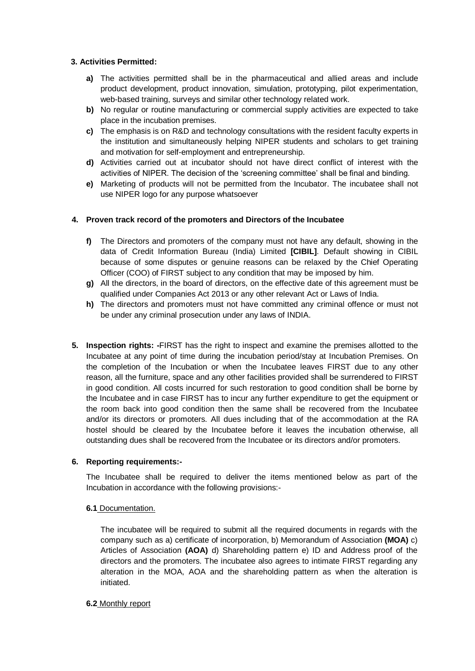# **3. Activities Permitted:**

- **a)** The activities permitted shall be in the pharmaceutical and allied areas and include product development, product innovation, simulation, prototyping, pilot experimentation, web-based training, surveys and similar other technology related work.
- **b)** No regular or routine manufacturing or commercial supply activities are expected to take place in the incubation premises.
- **c)** The emphasis is on R&D and technology consultations with the resident faculty experts in the institution and simultaneously helping NIPER students and scholars to get training and motivation for self-employment and entrepreneurship.
- **d)** Activities carried out at incubator should not have direct conflict of interest with the activities of NIPER. The decision of the 'screening committee' shall be final and binding.
- **e)** Marketing of products will not be permitted from the Incubator. The incubatee shall not use NIPER logo for any purpose whatsoever

# **4. Proven track record of the promoters and Directors of the Incubatee**

- **f)** The Directors and promoters of the company must not have any default, showing in the data of Credit Information Bureau (India) Limited **[CIBIL]**. Default showing in CIBIL because of some disputes or genuine reasons can be relaxed by the Chief Operating Officer (COO) of FIRST subject to any condition that may be imposed by him.
- **g)** All the directors, in the board of directors, on the effective date of this agreement must be qualified under Companies Act 2013 or any other relevant Act or Laws of India.
- **h)** The directors and promoters must not have committed any criminal offence or must not be under any criminal prosecution under any laws of INDIA.
- **5. Inspection rights: -**FIRST has the right to inspect and examine the premises allotted to the Incubatee at any point of time during the incubation period/stay at Incubation Premises. On the completion of the Incubation or when the Incubatee leaves FIRST due to any other reason, all the furniture, space and any other facilities provided shall be surrendered to FIRST in good condition. All costs incurred for such restoration to good condition shall be borne by the Incubatee and in case FIRST has to incur any further expenditure to get the equipment or the room back into good condition then the same shall be recovered from the Incubatee and/or its directors or promoters. All dues including that of the accommodation at the RA hostel should be cleared by the Incubatee before it leaves the incubation otherwise, all outstanding dues shall be recovered from the Incubatee or its directors and/or promoters.

## **6. Reporting requirements:-**

The Incubatee shall be required to deliver the items mentioned below as part of the Incubation in accordance with the following provisions:-

## **6.1** Documentation.

The incubatee will be required to submit all the required documents in regards with the company such as a) certificate of incorporation, b) Memorandum of Association **(MOA)** c) Articles of Association **(AOA)** d) Shareholding pattern e) ID and Address proof of the directors and the promoters. The incubatee also agrees to intimate FIRST regarding any alteration in the MOA, AOA and the shareholding pattern as when the alteration is initiated.

## **6.2** Monthly report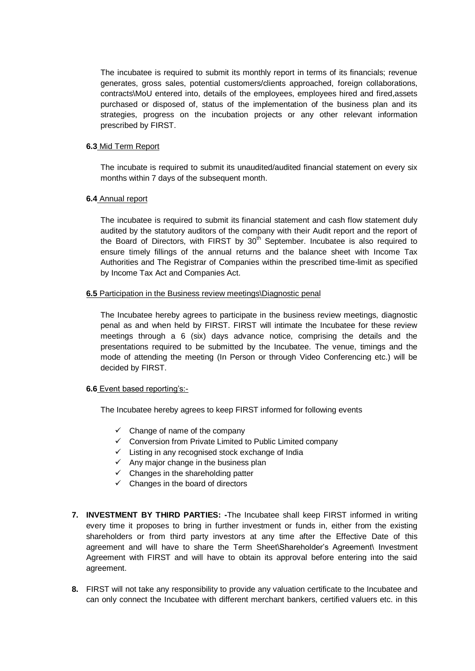The incubatee is required to submit its monthly report in terms of its financials; revenue generates, gross sales, potential customers/clients approached, foreign collaborations, contracts\MoU entered into, details of the employees, employees hired and fired,assets purchased or disposed of, status of the implementation of the business plan and its strategies, progress on the incubation projects or any other relevant information prescribed by FIRST.

### **6.3** Mid Term Report

The incubate is required to submit its unaudited/audited financial statement on every six months within 7 days of the subsequent month.

### **6.4** Annual report

The incubatee is required to submit its financial statement and cash flow statement duly audited by the statutory auditors of the company with their Audit report and the report of the Board of Directors, with FIRST by  $30<sup>th</sup>$  September. Incubatee is also required to ensure timely fillings of the annual returns and the balance sheet with Income Tax Authorities and The Registrar of Companies within the prescribed time-limit as specified by Income Tax Act and Companies Act.

### **6.5** Participation in the Business review meetings\Diagnostic penal

The Incubatee hereby agrees to participate in the business review meetings, diagnostic penal as and when held by FIRST. FIRST will intimate the Incubatee for these review meetings through a 6 (six) days advance notice, comprising the details and the presentations required to be submitted by the Incubatee. The venue, timings and the mode of attending the meeting (In Person or through Video Conferencing etc.) will be decided by FIRST.

## **6.6** Event based reporting's:-

The Incubatee hereby agrees to keep FIRST informed for following events

- $\checkmark$  Change of name of the company
- $\checkmark$  Conversion from Private Limited to Public Limited company
- $\checkmark$  Listing in any recognised stock exchange of India
- $\checkmark$  Any major change in the business plan
- $\checkmark$  Changes in the shareholding patter
- $\checkmark$  Changes in the board of directors
- **7. INVESTMENT BY THIRD PARTIES: -**The Incubatee shall keep FIRST informed in writing every time it proposes to bring in further investment or funds in, either from the existing shareholders or from third party investors at any time after the Effective Date of this agreement and will have to share the Term Sheet\Shareholder's Agreement\ Investment Agreement with FIRST and will have to obtain its approval before entering into the said agreement.
- **8.** FIRST will not take any responsibility to provide any valuation certificate to the Incubatee and can only connect the Incubatee with different merchant bankers, certified valuers etc. in this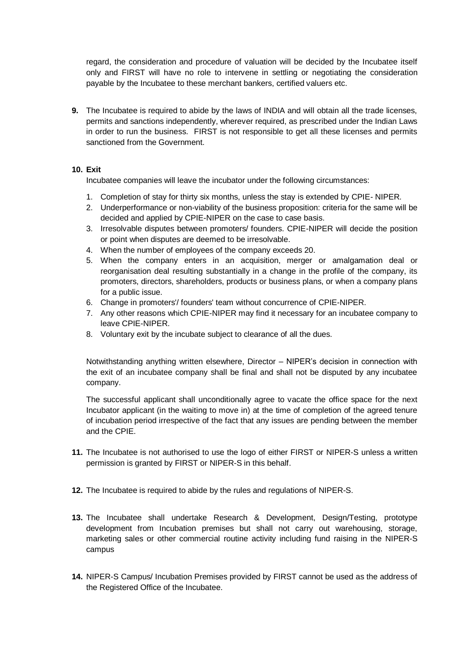regard, the consideration and procedure of valuation will be decided by the Incubatee itself only and FIRST will have no role to intervene in settling or negotiating the consideration payable by the Incubatee to these merchant bankers, certified valuers etc.

**9.** The Incubatee is required to abide by the laws of INDIA and will obtain all the trade licenses, permits and sanctions independently, wherever required, as prescribed under the Indian Laws in order to run the business. FIRST is not responsible to get all these licenses and permits sanctioned from the Government.

## **10. Exit**

Incubatee companies will leave the incubator under the following circumstances:

- 1. Completion of stay for thirty six months, unless the stay is extended by CPIE- NIPER.
- 2. Underperformance or non-viability of the business proposition: criteria for the same will be decided and applied by CPIE-NIPER on the case to case basis.
- 3. Irresolvable disputes between promoters/ founders. CPIE-NIPER will decide the position or point when disputes are deemed to be irresolvable.
- 4. When the number of employees of the company exceeds 20.
- 5. When the company enters in an acquisition, merger or amalgamation deal or reorganisation deal resulting substantially in a change in the profile of the company, its promoters, directors, shareholders, products or business plans, or when a company plans for a public issue.
- 6. Change in promoters'/ founders' team without concurrence of CPIE-NIPER.
- 7. Any other reasons which CPIE-NIPER may find it necessary for an incubatee company to leave CPIE-NIPER.
- 8. Voluntary exit by the incubate subject to clearance of all the dues.

Notwithstanding anything written elsewhere, Director – NIPER's decision in connection with the exit of an incubatee company shall be final and shall not be disputed by any incubatee company.

The successful applicant shall unconditionally agree to vacate the office space for the next Incubator applicant (in the waiting to move in) at the time of completion of the agreed tenure of incubation period irrespective of the fact that any issues are pending between the member and the CPIE.

- **11.** The Incubatee is not authorised to use the logo of either FIRST or NIPER-S unless a written permission is granted by FIRST or NIPER-S in this behalf.
- **12.** The Incubatee is required to abide by the rules and regulations of NIPER-S.
- **13.** The Incubatee shall undertake Research & Development, Design/Testing, prototype development from Incubation premises but shall not carry out warehousing, storage, marketing sales or other commercial routine activity including fund raising in the NIPER-S campus
- **14.** NIPER-S Campus/ Incubation Premises provided by FIRST cannot be used as the address of the Registered Office of the Incubatee.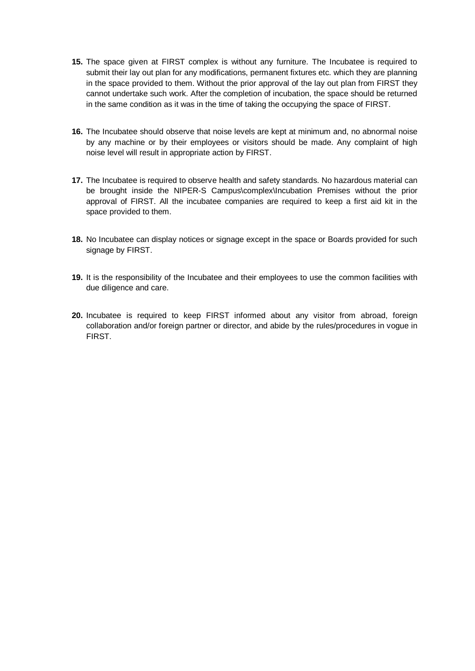- **15.** The space given at FIRST complex is without any furniture. The Incubatee is required to submit their lay out plan for any modifications, permanent fixtures etc. which they are planning in the space provided to them. Without the prior approval of the lay out plan from FIRST they cannot undertake such work. After the completion of incubation, the space should be returned in the same condition as it was in the time of taking the occupying the space of FIRST.
- **16.** The Incubatee should observe that noise levels are kept at minimum and, no abnormal noise by any machine or by their employees or visitors should be made. Any complaint of high noise level will result in appropriate action by FIRST.
- **17.** The Incubatee is required to observe health and safety standards. No hazardous material can be brought inside the NIPER-S Campus\complex\Incubation Premises without the prior approval of FIRST. All the incubatee companies are required to keep a first aid kit in the space provided to them.
- **18.** No Incubatee can display notices or signage except in the space or Boards provided for such signage by FIRST.
- **19.** It is the responsibility of the Incubatee and their employees to use the common facilities with due diligence and care.
- **20.** Incubatee is required to keep FIRST informed about any visitor from abroad, foreign collaboration and/or foreign partner or director, and abide by the rules/procedures in vogue in FIRST.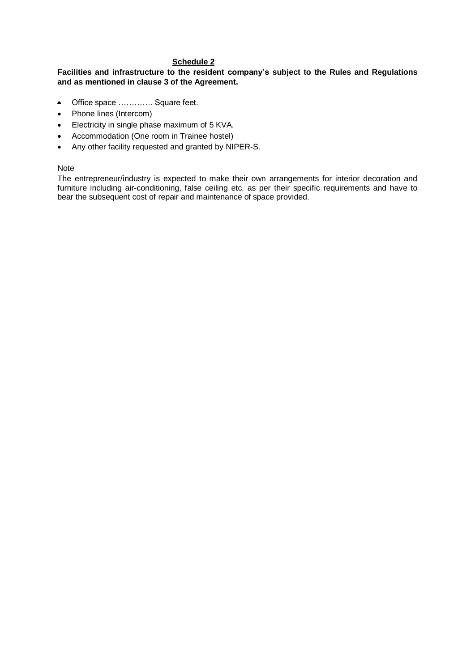# **Schedule 2**

## **Facilities and infrastructure to the resident company's subject to the Rules and Regulations and as mentioned in clause 3 of the Agreement.**

- Office space …………. Square feet.
- Phone lines (Intercom)
- Electricity in single phase maximum of 5 KVA.
- Accommodation (One room in Trainee hostel)
- Any other facility requested and granted by NIPER-S.

### Note

The entrepreneur/industry is expected to make their own arrangements for interior decoration and furniture including air-conditioning, false ceiling etc. as per their specific requirements and have to bear the subsequent cost of repair and maintenance of space provided.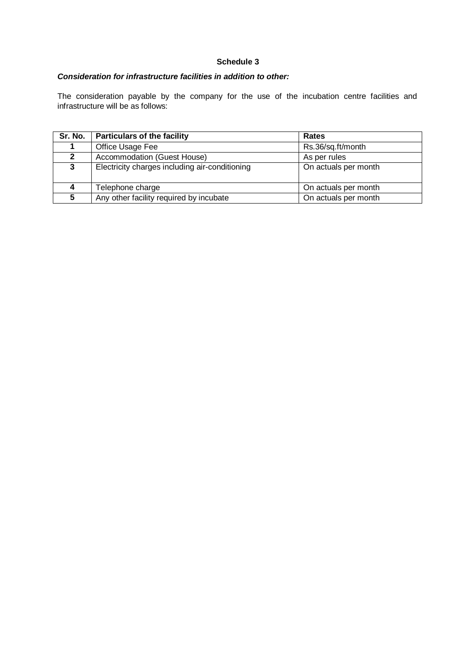# **Schedule 3**

# *Consideration for infrastructure facilities in addition to other:*

The consideration payable by the company for the use of the incubation centre facilities and infrastructure will be as follows:

| Sr. No.      | <b>Particulars of the facility</b>             | <b>Rates</b>         |
|--------------|------------------------------------------------|----------------------|
|              | Office Usage Fee                               | Rs.36/sq.ft/month    |
| $\mathbf{2}$ | Accommodation (Guest House)                    | As per rules         |
| 3            | Electricity charges including air-conditioning | On actuals per month |
|              | Telephone charge                               | On actuals per month |
| 5            | Any other facility required by incubate        | On actuals per month |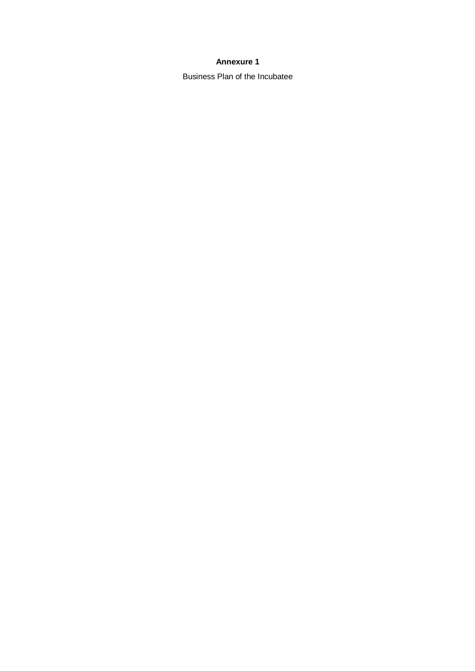# **Annexure 1**

Business Plan of the Incubatee